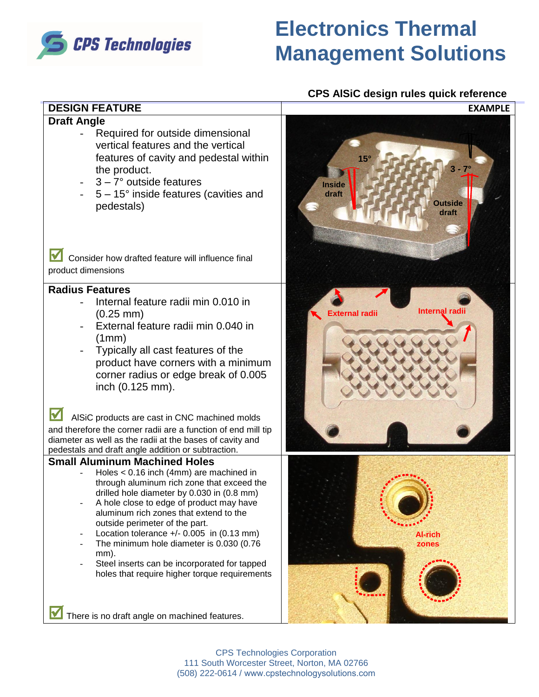

# **DESIGN FEATURE EXAMPLE**

### **Draft Angle**

- Required for outside dimensional vertical features and the vertical features of cavity and pedestal within the product.
- $3 7^\circ$  outside features
- $5 15^\circ$  inside features (cavities and pedestals)

**;** Consider how drafted feature will influence final product dimensions

## **Radius Features**

- Internal feature radii min 0.010 in (0.25 mm)
- External feature radii min 0.040 in (1mm)
- Typically all cast features of the product have corners with a minimum corner radius or edge break of 0.005 inch (0.125 mm).

**Fig.** AISiC products are cast in CNC machined molds and therefore the corner radii are a function of end mill tip diameter as well as the radii at the bases of cavity and pedestals and draft angle addition or subtraction.

### **Small Aluminum Machined Holes**

- Holes < 0.16 inch (4mm) are machined in through aluminum rich zone that exceed the drilled hole diameter by 0.030 in (0.8 mm)
- A hole close to edge of product may have aluminum rich zones that extend to the outside perimeter of the part.
- Location tolerance  $+/- 0.005$  in (0.13 mm)
- The minimum hole diameter is 0.030 (0.76) mm).
- Steel inserts can be incorporated for tapped holes that require higher torque requirements

5° **3 - 7° Outside draft Inside draft 15° External radii Internal radii**



**;** There is no draft angle on machined features.